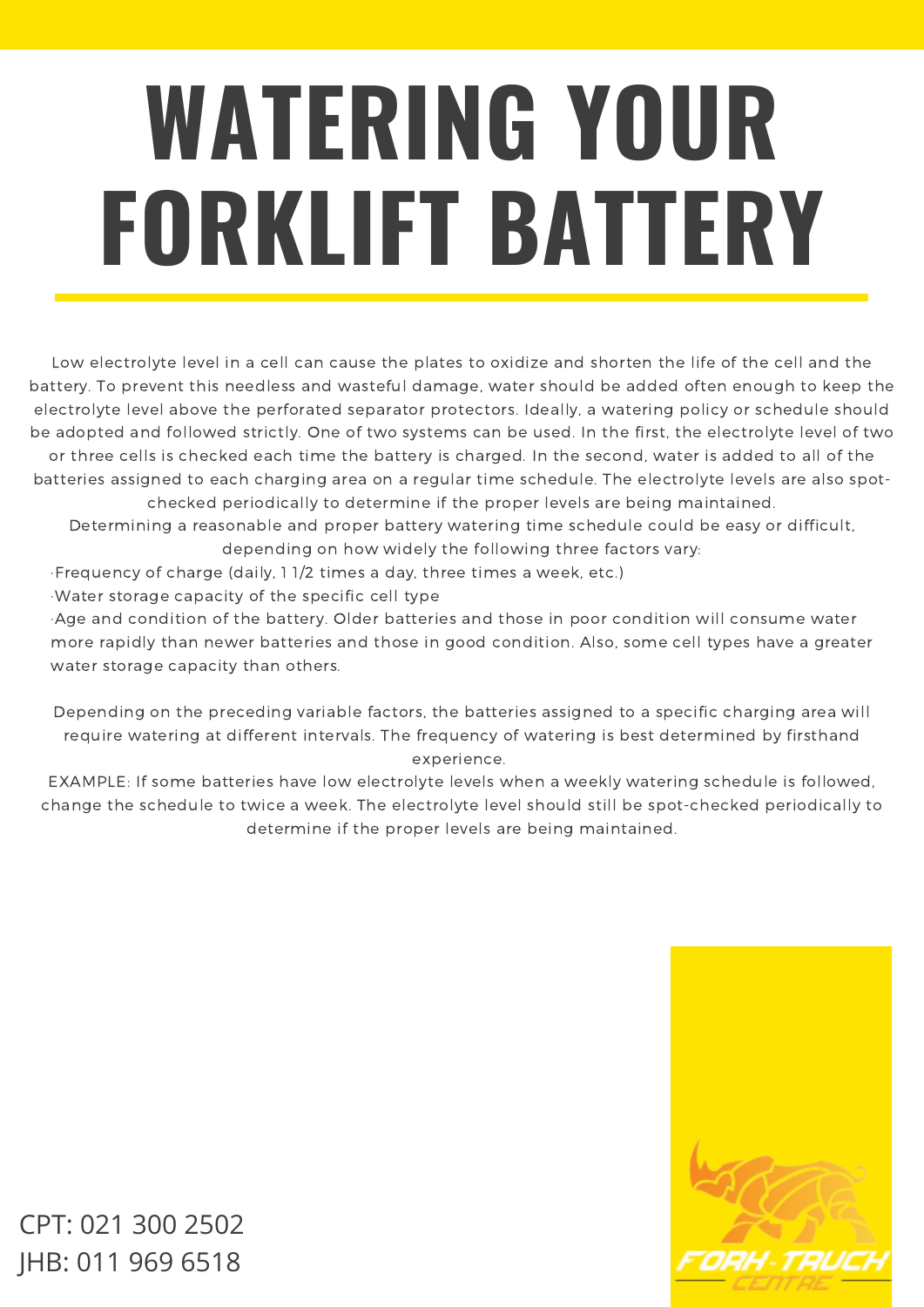## **WATERING YOUR FORKLIFT BATTERY**

Low electrolyte level in a cell can cause the plates to oxidize and shorten the life of the cell and the battery. To prevent this needless and wasteful damage, water should be added often enough to keep the electrolyte level above the perforated separator protectors. Ideally, a watering policy or schedule should be adopted and followed strictly. One of two systems can be used. In the first, the electrolyte level of two or three cells is checked each time the battery is charged. In the second, water is added to all of the batteries assigned to each charging area on a regular time schedule. The electrolyte levels are also spotchecked periodically to determine if the proper levels are being maintained.

Determining a reasonable and proper battery watering time schedule could be easy or difficult, depending on how widely the following three factors vary:

·Frequency of charge (daily, 1 1/2 times a day, three times a week, etc.)

·Water storage capacity of the specific cell type

·Age and condition of the battery. Older batteries and those in poor condition will consume water more rapidly than newer batteries and those in good condition. Also, some cell types have a greater water storage capacity than others.

Depending on the preceding variable factors, the batteries assigned to a specific charging area will require watering at different intervals. The frequency of watering is best determined by firsthand experience.

EXAMPLE: If some batteries have low electrolyte levels when a weekly watering schedule is followed, change the schedule to twice a week. The electrolyte level should still be spot-checked periodically to determine if the proper levels are being maintained.



CPT: 021 300 2502 JHB: 011 969 6518